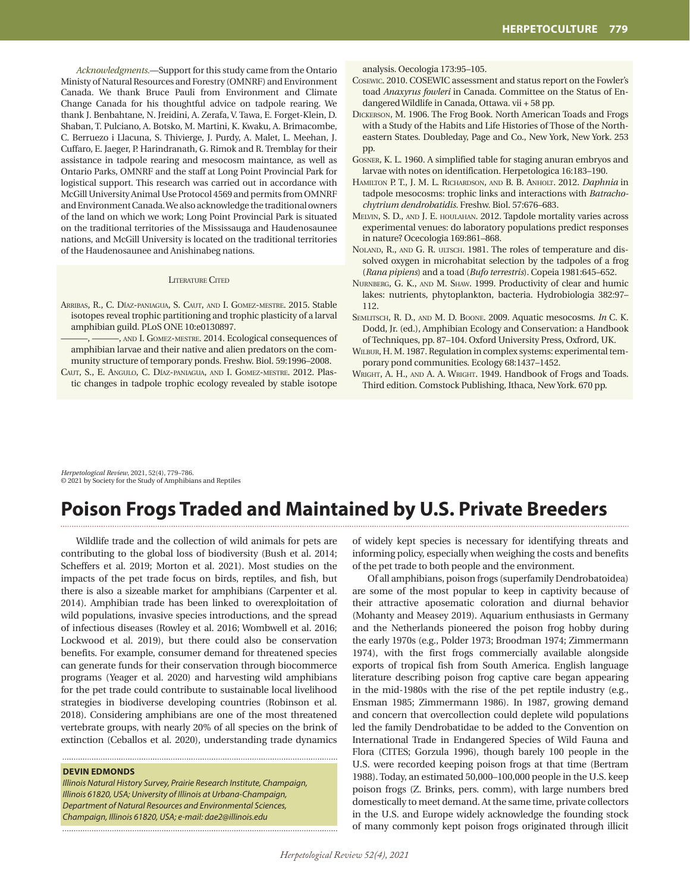*Acknowledgments.*––Support for this study came from the Ontario Ministy of Natural Resources and Forestry (OMNRF) and Environment Canada. We thank Bruce Pauli from Environment and Climate Change Canada for his thoughtful advice on tadpole rearing. We thank J. Benbahtane, N. Jreidini, A. Zerafa, V. Tawa, E. Forget-Klein, D. Shaban, T. Pulciano, A. Botsko, M. Martini, K. Kwaku, A. Brimacombe, C. Berruezo i Llacuna, S. Thivierge, J. Purdy, A. Malet, L. Meehan, J. Cuffaro, E. Jaeger, P. Harindranath, G. Rimok and R. Tremblay for their assistance in tadpole rearing and mesocosm maintance, as well as Ontario Parks, OMNRF and the staff at Long Point Provincial Park for logistical support. This research was carried out in accordance with McGill University Animal Use Protocol 4569 and permits from OMNRF and Environment Canada. We also acknowledge the traditional owners of the land on which we work; Long Point Provincial Park is situated on the traditional territories of the Mississauga and Haudenosaunee nations, and McGill University is located on the traditional territories of the Haudenosaunee and Anishinabeg nations.

### LITERATURE CITED

- Arribas, R., C. Díaz-paniagua, S. Caut, and I. Gomez-mestre. 2015. Stable isotopes reveal trophic partitioning and trophic plasticity of a larval amphibian guild. PLoS ONE 10:e0130897.
- , AND I. GOMEZ-MESTRE. 2014. Ecological consequences of amphibian larvae and their native and alien predators on the community structure of temporary ponds. Freshw. Biol. 59:1996–2008.
- Caut, S., E. Angulo, C. Díaz-paniagua, and I. Gomez-mestre. 2012. Plastic changes in tadpole trophic ecology revealed by stable isotope

analysis. Oecologia 173:95–105.

- Cosewic. 2010. COSEWIC assessment and status report on the Fowler's toad *Anaxyrus fowleri* in Canada. Committee on the Status of Endangered Wildlife in Canada, Ottawa. vii + 58 pp.
- Dickerson, M. 1906. The Frog Book. North American Toads and Frogs with a Study of the Habits and Life Histories of Those of the Northeastern States. Doubleday, Page and Co., New York, New York. 253 pp.
- Gosner, K. L. 1960. A simplified table for staging anuran embryos and larvae with notes on identification. Herpetologica 16:183–190.
- Hamilton P. T., J. M. L. Richardson, and B. B. Anholt. 2012. *Daphnia* in tadpole mesocosms: trophic links and interactions with *Batrachochytrium dendrobatidis.* Freshw. Biol. 57:676–683.
- Melvin, S. D., and J. E. houlahan. 2012. Tapdole mortality varies across experimental venues: do laboratory populations predict responses in nature? Ocecologia 169:861–868.
- NOLAND, R., AND G. R. ULTSCH. 1981. The roles of temperature and dissolved oxygen in microhabitat selection by the tadpoles of a frog (*Rana pipiens*) and a toad (*Bufo terrestris*). Copeia 1981:645–652.
- Nurnberg, G. K., and M. Shaw. 1999. Productivity of clear and humic lakes: nutrients, phytoplankton, bacteria. Hydrobiologia 382:97– 112.
- Semlitsch, R. D., and M. D. Boone. 2009. Aquatic mesocosms. *In* C. K. Dodd, Jr. (ed.), Amphibian Ecology and Conservation: a Handbook of Techniques, pp. 87–104. Oxford University Press, Oxfrord, UK.
- WILBUR, H. M. 1987. Regulation in complex systems: experimental temporary pond communities. Ecology 68:1437–1452.
- WRIGHT, A. H., AND A. A. WRIGHT. 1949. Handbook of Frogs and Toads. Third edition. Comstock Publishing, Ithaca, New York. 670 pp.

*Herpetological Review*, 2021, 52(4), 779–786. © 2021 by Society for the Study of Amphibians and Reptiles

# **Poison Frogs Traded and Maintained by U.S. Private Breeders**

Wildlife trade and the collection of wild animals for pets are contributing to the global loss of biodiversity (Bush et al. 2014; Scheffers et al. 2019; Morton et al. 2021). Most studies on the impacts of the pet trade focus on birds, reptiles, and fish, but there is also a sizeable market for amphibians (Carpenter et al. 2014). Amphibian trade has been linked to overexploitation of wild populations, invasive species introductions, and the spread of infectious diseases (Rowley et al. 2016; Wombwell et al. 2016; Lockwood et al. 2019), but there could also be conservation benefits. For example, consumer demand for threatened species can generate funds for their conservation through biocommerce programs (Yeager et al. 2020) and harvesting wild amphibians for the pet trade could contribute to sustainable local livelihood strategies in biodiverse developing countries (Robinson et al. 2018). Considering amphibians are one of the most threatened vertebrate groups, with nearly 20% of all species on the brink of extinction (Ceballos et al. 2020), understanding trade dynamics

#### **DEVIN EDMONDS**

*Illinois Natural History Survey, Prairie Research Institute, Champaign, Illinois 61820, USA; University of Illinois at Urbana-Champaign, Department of Natural Resources and Environmental Sciences, Champaign, Illinois 61820, USA; e-mail: dae2@illinois.edu*

of widely kept species is necessary for identifying threats and informing policy, especially when weighing the costs and benefits of the pet trade to both people and the environment.

Of all amphibians, poison frogs (superfamily Dendrobatoidea) are some of the most popular to keep in captivity because of their attractive aposematic coloration and diurnal behavior (Mohanty and Measey 2019). Aquarium enthusiasts in Germany and the Netherlands pioneered the poison frog hobby during the early 1970s (e.g., Polder 1973; Broodman 1974; Zimmermann 1974), with the first frogs commercially available alongside exports of tropical fish from South America. English language literature describing poison frog captive care began appearing in the mid-1980s with the rise of the pet reptile industry (e.g., Ensman 1985; Zimmermann 1986). In 1987, growing demand and concern that overcollection could deplete wild populations led the family Dendrobatidae to be added to the Convention on International Trade in Endangered Species of Wild Fauna and Flora (CITES; Gorzula 1996), though barely 100 people in the U.S. were recorded keeping poison frogs at that time (Bertram 1988). Today, an estimated 50,000–100,000 people in the U.S. keep poison frogs (Z. Brinks, pers. comm), with large numbers bred domestically to meet demand. At the same time, private collectors in the U.S. and Europe widely acknowledge the founding stock of many commonly kept poison frogs originated through illicit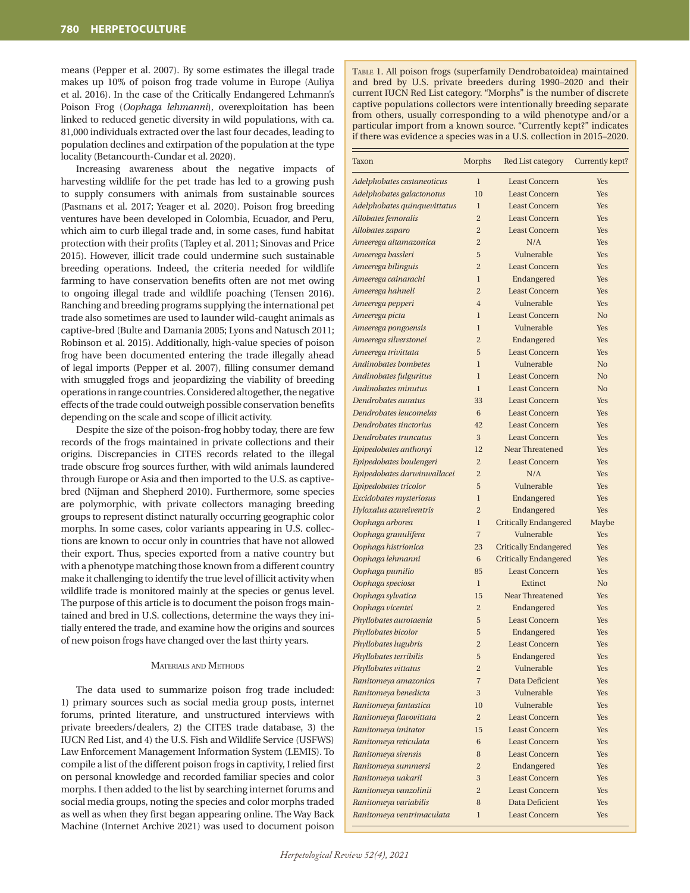means (Pepper et al. 2007). By some estimates the illegal trade makes up 10% of poison frog trade volume in Europe (Auliya et al. 2016). In the case of the Critically Endangered Lehmann's Poison Frog (*Oophaga lehmanni*), overexploitation has been linked to reduced genetic diversity in wild populations, with ca. 81,000 individuals extracted over the last four decades, leading to population declines and extirpation of the population at the type locality (Betancourth-Cundar et al. 2020).

Increasing awareness about the negative impacts of harvesting wildlife for the pet trade has led to a growing push to supply consumers with animals from sustainable sources (Pasmans et al. 2017; Yeager et al. 2020). Poison frog breeding ventures have been developed in Colombia, Ecuador, and Peru, which aim to curb illegal trade and, in some cases, fund habitat protection with their profits (Tapley et al. 2011; Sinovas and Price 2015). However, illicit trade could undermine such sustainable breeding operations. Indeed, the criteria needed for wildlife farming to have conservation benefits often are not met owing to ongoing illegal trade and wildlife poaching (Tensen 2016). Ranching and breeding programs supplying the international pet trade also sometimes are used to launder wild-caught animals as captive-bred (Bulte and Damania 2005; Lyons and Natusch 2011; Robinson et al. 2015). Additionally, high-value species of poison frog have been documented entering the trade illegally ahead of legal imports (Pepper et al. 2007), filling consumer demand with smuggled frogs and jeopardizing the viability of breeding operations in range countries. Considered altogether, the negative effects of the trade could outweigh possible conservation benefits depending on the scale and scope of illicit activity.

Despite the size of the poison-frog hobby today, there are few records of the frogs maintained in private collections and their origins. Discrepancies in CITES records related to the illegal trade obscure frog sources further, with wild animals laundered through Europe or Asia and then imported to the U.S. as captivebred (Nijman and Shepherd 2010). Furthermore, some species are polymorphic, with private collectors managing breeding groups to represent distinct naturally occurring geographic color morphs. In some cases, color variants appearing in U.S. collections are known to occur only in countries that have not allowed their export. Thus, species exported from a native country but with a phenotype matching those known from a different country make it challenging to identify the true level of illicit activity when wildlife trade is monitored mainly at the species or genus level. The purpose of this article is to document the poison frogs maintained and bred in U.S. collections, determine the ways they initially entered the trade, and examine how the origins and sources of new poison frogs have changed over the last thirty years.

#### Materials and Methods

The data used to summarize poison frog trade included: 1) primary sources such as social media group posts, internet forums, printed literature, and unstructured interviews with private breeders/dealers, 2) the CITES trade database, 3) the IUCN Red List, and 4) the U.S. Fish and Wildlife Service (USFWS) Law Enforcement Management Information System (LEMIS). To compile a list of the different poison frogs in captivity, I relied first on personal knowledge and recorded familiar species and color morphs. I then added to the list by searching internet forums and social media groups, noting the species and color morphs traded as well as when they first began appearing online. The Way Back Machine (Internet Archive 2021) was used to document poison Table 1. All poison frogs (superfamily Dendrobatoidea) maintained and bred by U.S. private breeders during 1990–2020 and their current IUCN Red List category. "Morphs" is the number of discrete captive populations collectors were intentionally breeding separate from others, usually corresponding to a wild phenotype and/or a particular import from a known source. "Currently kept?" indicates if there was evidence a species was in a U.S. collection in 2015–2020.

| Taxon                        | Morphs         | Red List category            | Currently kept? |
|------------------------------|----------------|------------------------------|-----------------|
| Adelphobates castaneoticus   | $\mathbf{1}$   | <b>Least Concern</b>         | Yes             |
| Adelphobates galactonotus    | 10             | <b>Least Concern</b>         | Yes             |
| Adelphobates quinquevittatus | $\mathbf{1}$   | <b>Least Concern</b>         | Yes             |
| Allobates femoralis          | $\overline{2}$ | <b>Least Concern</b>         | Yes             |
| Allobates zaparo             | $\overline{2}$ | <b>Least Concern</b>         | Yes             |
| Ameerega altamazonica        | $\overline{2}$ | N/A                          | Yes             |
| Ameerega bassleri            | 5              | Vulnerable                   | Yes             |
| Ameerega bilinguis           | $\overline{2}$ | <b>Least Concern</b>         | Yes             |
| Ameerega cainarachi          | $\mathbf{1}$   | Endangered                   | Yes             |
| Ameerega hahneli             | $\overline{2}$ | <b>Least Concern</b>         | Yes             |
| Ameerega pepperi             | $\overline{4}$ | Vulnerable                   | Yes             |
| Ameerega picta               | 1              | <b>Least Concern</b>         | N <sub>0</sub>  |
| Ameerega pongoensis          | $\mathbf{1}$   | Vulnerable                   | Yes             |
| Ameerega silverstonei        | $\overline{2}$ | Endangered                   | Yes             |
| Ameerega trivittata          | 5              | <b>Least Concern</b>         | Yes             |
| Andinobates bombetes         | $\mathbf{1}$   | Vulnerable                   | N <sub>0</sub>  |
| Andinobates fulguritus       | 1              | <b>Least Concern</b>         | N <sub>0</sub>  |
| Andinobates minutus          | $\mathbf{1}$   | <b>Least Concern</b>         | N <sub>o</sub>  |
| Dendrobates auratus          | 33             | <b>Least Concern</b>         | Yes             |
| Dendrobates leucomelas       | 6              | <b>Least Concern</b>         | Yes             |
| Dendrobates tinctorius       | 42             | <b>Least Concern</b>         | Yes             |
| Dendrobates truncatus        | 3              | <b>Least Concern</b>         | Yes             |
| Epipedobates anthonyi        | 12             | Near Threatened              | Yes             |
| Epipedobates boulengeri      | $\overline{c}$ | <b>Least Concern</b>         | Yes             |
| Epipedobates darwinwallacei  | $\overline{2}$ | N/A                          | Yes             |
| Epipedobates tricolor        | 5              | Vulnerable                   | Yes             |
| Excidobates mysteriosus      | $\mathbf{1}$   | Endangered                   | Yes             |
| Hyloxalus azureiventris      | $\overline{c}$ | Endangered                   | Yes             |
| Oophaga arborea              | $\mathbf{1}$   | Critically Endangered        | Maybe           |
| Oophaga granulifera          | $\overline{7}$ | Vulnerable                   | Yes             |
| Oophaga histrionica          | 23             | Critically Endangered        | Yes             |
| Oophaga lehmanni             | 6              | <b>Critically Endangered</b> | Yes             |
| Oophaga pumilio              | 85             | <b>Least Concern</b>         | Yes             |
| Oophaga speciosa             | $\mathbf{1}$   | Extinct                      | N <sub>o</sub>  |
| Oophaga sylvatica            | 15             | Near Threatened              | Yes             |
| Oophaga vicentei             | $\overline{2}$ | Endangered                   | Yes             |
| Phyllobates aurotaenia       | 5              | <b>Least Concern</b>         | Yes             |
| Phyllobates bicolor          | 5              | Endangered                   | Yes             |
| Phyllobates lugubris         | $\overline{2}$ | <b>Least Concern</b>         | Yes             |
| Phyllobates terribilis       | 5              | Endangered                   | Yes             |
| Phyllobates vittatus         | $\overline{2}$ | Vulnerable                   | Yes             |
| Ranitomeya amazonica         | $\overline{7}$ | Data Deficient               | Yes             |
| Ranitomeya benedicta         | 3              | Vulnerable                   | <b>Yes</b>      |
| Ranitomeya fantastica        | 10             | Vulnerable                   | Yes             |
| Ranitomeya flavovittata      | $\overline{2}$ | <b>Least Concern</b>         | Yes             |
| Ranitomeya imitator          | 15             | <b>Least Concern</b>         | Yes             |
| Ranitomeya reticulata        | 6              | <b>Least Concern</b>         | Yes             |
| Ranitomeya sirensis          | 8              | <b>Least Concern</b>         | Yes             |
| Ranitomeya summersi          | $\overline{c}$ | Endangered                   | Yes             |
| Ranitomeya uakarii           | 3              | <b>Least Concern</b>         | Yes             |
| Ranitomeya vanzolinii        | $\overline{2}$ | <b>Least Concern</b>         | Yes             |
| Ranitomeya variabilis        | 8              | Data Deficient               | Yes             |
| Ranitomeya ventrimaculata    | 1              | <b>Least Concern</b>         | Yes             |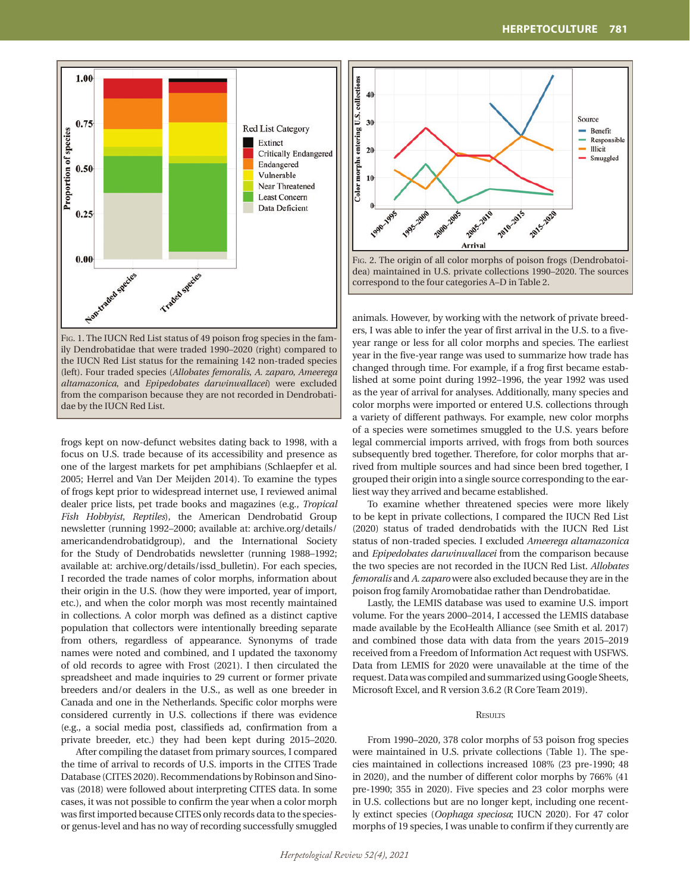

Fig. 1. The IUCN Red List status of 49 poison frog species in the family Dendrobatidae that were traded 1990–2020 (right) compared to the IUCN Red List status for the remaining 142 non-traded species (left). Four traded species (*Allobates femoralis*, *A. zaparo*, *Ameerega altamazonica*, and *Epipedobates darwinwallacei*) were excluded from the comparison because they are not recorded in Dendrobatidae by the IUCN Red List.

frogs kept on now-defunct websites dating back to 1998, with a focus on U.S. trade because of its accessibility and presence as one of the largest markets for pet amphibians (Schlaepfer et al. 2005; Herrel and Van Der Meijden 2014). To examine the types of frogs kept prior to widespread internet use, I reviewed animal dealer price lists, pet trade books and magazines (e.g., *Tropical Fish Hobbyist*, *Reptiles*), the American Dendrobatid Group newsletter (running 1992–2000; available at: archive.org/details/ americandendrobatidgroup), and the International Society for the Study of Dendrobatids newsletter (running 1988–1992; available at: archive.org/details/issd\_bulletin). For each species, I recorded the trade names of color morphs, information about their origin in the U.S. (how they were imported, year of import, etc.), and when the color morph was most recently maintained in collections. A color morph was defined as a distinct captive population that collectors were intentionally breeding separate from others, regardless of appearance. Synonyms of trade names were noted and combined, and I updated the taxonomy of old records to agree with Frost (2021). I then circulated the spreadsheet and made inquiries to 29 current or former private breeders and/or dealers in the U.S., as well as one breeder in Canada and one in the Netherlands. Specific color morphs were considered currently in U.S. collections if there was evidence (e.g., a social media post, classifieds ad, confirmation from a private breeder, etc.) they had been kept during 2015–2020.

After compiling the dataset from primary sources, I compared the time of arrival to records of U.S. imports in the CITES Trade Database (CITES 2020). Recommendations by Robinson and Sinovas (2018) were followed about interpreting CITES data. In some cases, it was not possible to confirm the year when a color morph was first imported because CITES only records data to the speciesor genus-level and has no way of recording successfully smuggled



correspond to the four categories A–D in Table 2.

animals. However, by working with the network of private breeders, I was able to infer the year of first arrival in the U.S. to a fiveyear range or less for all color morphs and species. The earliest year in the five-year range was used to summarize how trade has changed through time. For example, if a frog first became established at some point during 1992–1996, the year 1992 was used as the year of arrival for analyses. Additionally, many species and color morphs were imported or entered U.S. collections through a variety of different pathways. For example, new color morphs of a species were sometimes smuggled to the U.S. years before legal commercial imports arrived, with frogs from both sources subsequently bred together. Therefore, for color morphs that arrived from multiple sources and had since been bred together, I grouped their origin into a single source corresponding to the earliest way they arrived and became established.

To examine whether threatened species were more likely to be kept in private collections, I compared the IUCN Red List (2020) status of traded dendrobatids with the IUCN Red List status of non-traded species. I excluded *Ameerega altamazonica*  and *Epipedobates darwinwallacei* from the comparison because the two species are not recorded in the IUCN Red List. *Allobates femoralis* and *A. zaparo* were also excluded because they are in the poison frog family Aromobatidae rather than Dendrobatidae.

Lastly, the LEMIS database was used to examine U.S. import volume. For the years 2000–2014, I accessed the LEMIS database made available by the EcoHealth Alliance (see Smith et al. 2017) and combined those data with data from the years 2015–2019 received from a Freedom of Information Act request with USFWS. Data from LEMIS for 2020 were unavailable at the time of the request. Data was compiled and summarized using Google Sheets, Microsoft Excel, and R version 3.6.2 (R Core Team 2019).

# **RESULTS**

From 1990–2020, 378 color morphs of 53 poison frog species were maintained in U.S. private collections (Table 1). The species maintained in collections increased 108% (23 pre-1990; 48 in 2020), and the number of different color morphs by 766% (41 pre-1990; 355 in 2020). Five species and 23 color morphs were in U.S. collections but are no longer kept, including one recently extinct species (*Oophaga speciosa*; IUCN 2020). For 47 color morphs of 19 species, I was unable to confirm if they currently are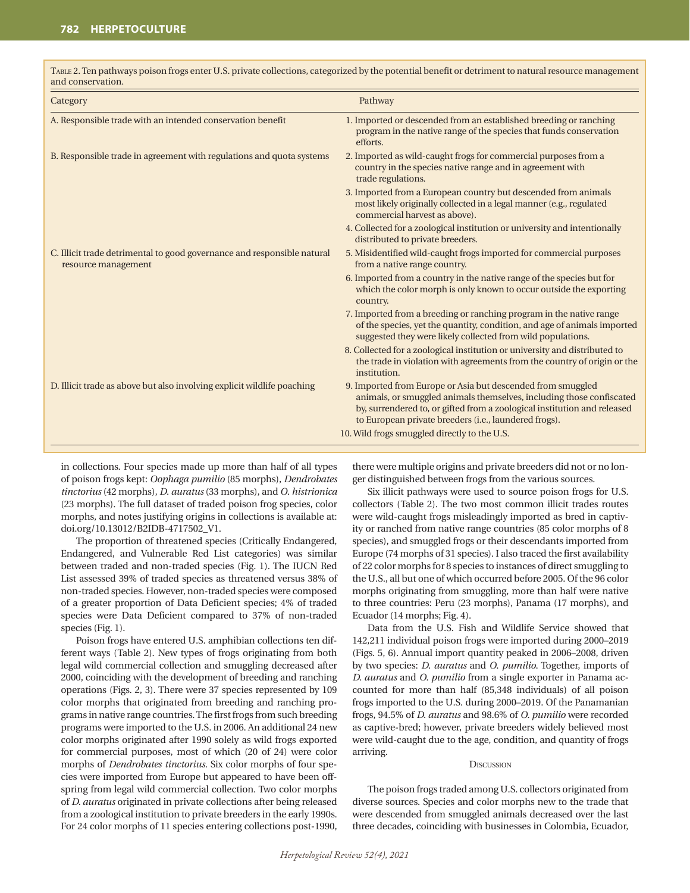| and conservation.                                                                              |                                                                                                                                                                                                                                                                          |
|------------------------------------------------------------------------------------------------|--------------------------------------------------------------------------------------------------------------------------------------------------------------------------------------------------------------------------------------------------------------------------|
| Category                                                                                       | Pathway                                                                                                                                                                                                                                                                  |
| A. Responsible trade with an intended conservation benefit                                     | 1. Imported or descended from an established breeding or ranching<br>program in the native range of the species that funds conservation<br>efforts.                                                                                                                      |
| B. Responsible trade in agreement with regulations and quota systems                           | 2. Imported as wild-caught frogs for commercial purposes from a<br>country in the species native range and in agreement with<br>trade regulations.                                                                                                                       |
|                                                                                                | 3. Imported from a European country but descended from animals<br>most likely originally collected in a legal manner (e.g., regulated<br>commercial harvest as above).                                                                                                   |
|                                                                                                | 4. Collected for a zoological institution or university and intentionally<br>distributed to private breeders.                                                                                                                                                            |
| C. Illicit trade detrimental to good governance and responsible natural<br>resource management | 5. Misidentified wild-caught frogs imported for commercial purposes<br>from a native range country.                                                                                                                                                                      |
|                                                                                                | 6. Imported from a country in the native range of the species but for<br>which the color morph is only known to occur outside the exporting<br>country.                                                                                                                  |
|                                                                                                | 7. Imported from a breeding or ranching program in the native range<br>of the species, yet the quantity, condition, and age of animals imported<br>suggested they were likely collected from wild populations.                                                           |
|                                                                                                | 8. Collected for a zoological institution or university and distributed to<br>the trade in violation with agreements from the country of origin or the<br>institution.                                                                                                   |
| D. Illicit trade as above but also involving explicit wildlife poaching                        | 9. Imported from Europe or Asia but descended from smuggled<br>animals, or smuggled animals themselves, including those confiscated<br>by, surrendered to, or gifted from a zoological institution and released<br>to European private breeders (i.e., laundered frogs). |
|                                                                                                | 10. Wild frogs smuggled directly to the U.S.                                                                                                                                                                                                                             |

Table 2. Ten pathways poison frogs enter U.S. private collections, categorized by the potential benefit or detriment to natural resource management and conservation.

in collections. Four species made up more than half of all types of poison frogs kept: *Oophaga pumilio* (85 morphs), *Dendrobates tinctorius* (42 morphs), *D*. *auratus* (33 morphs), and *O*. *histrionica*  (23 morphs). The full dataset of traded poison frog species, color morphs, and notes justifying origins in collections is available at: doi.org/10.13012/B2IDB-4717502\_V1.

The proportion of threatened species (Critically Endangered, Endangered, and Vulnerable Red List categories) was similar between traded and non-traded species (Fig. 1). The IUCN Red List assessed 39% of traded species as threatened versus 38% of non-traded species. However, non-traded species were composed of a greater proportion of Data Deficient species; 4% of traded species were Data Deficient compared to 37% of non-traded species (Fig. 1).

Poison frogs have entered U.S. amphibian collections ten different ways (Table 2). New types of frogs originating from both legal wild commercial collection and smuggling decreased after 2000, coinciding with the development of breeding and ranching operations (Figs. 2, 3). There were 37 species represented by 109 color morphs that originated from breeding and ranching programs in native range countries. The first frogs from such breeding programs were imported to the U.S. in 2006. An additional 24 new color morphs originated after 1990 solely as wild frogs exported for commercial purposes, most of which (20 of 24) were color morphs of *Dendrobates tinctorius*. Six color morphs of four species were imported from Europe but appeared to have been offspring from legal wild commercial collection. Two color morphs of *D. auratus* originated in private collections after being released from a zoological institution to private breeders in the early 1990s. For 24 color morphs of 11 species entering collections post-1990,

there were multiple origins and private breeders did not or no longer distinguished between frogs from the various sources.

Six illicit pathways were used to source poison frogs for U.S. collectors (Table 2). The two most common illicit trades routes were wild-caught frogs misleadingly imported as bred in captivity or ranched from native range countries (85 color morphs of 8 species), and smuggled frogs or their descendants imported from Europe (74 morphs of 31 species). I also traced the first availability of 22 color morphs for 8 species to instances of direct smuggling to the U.S., all but one of which occurred before 2005. Of the 96 color morphs originating from smuggling, more than half were native to three countries: Peru (23 morphs), Panama (17 morphs), and Ecuador (14 morphs; Fig. 4).

Data from the U.S. Fish and Wildlife Service showed that 142,211 individual poison frogs were imported during 2000–2019 (Figs. 5, 6). Annual import quantity peaked in 2006–2008, driven by two species: *D*. *auratus* and *O*. *pumilio*. Together, imports of *D. auratus* and *O. pumilio* from a single exporter in Panama accounted for more than half (85,348 individuals) of all poison frogs imported to the U.S. during 2000–2019. Of the Panamanian frogs, 94.5% of *D. auratus* and 98.6% of *O. pumilio* were recorded as captive-bred; however, private breeders widely believed most were wild-caught due to the age, condition, and quantity of frogs arriving.

## **DISCUSSION**

The poison frogs traded among U.S. collectors originated from diverse sources. Species and color morphs new to the trade that were descended from smuggled animals decreased over the last three decades, coinciding with businesses in Colombia, Ecuador,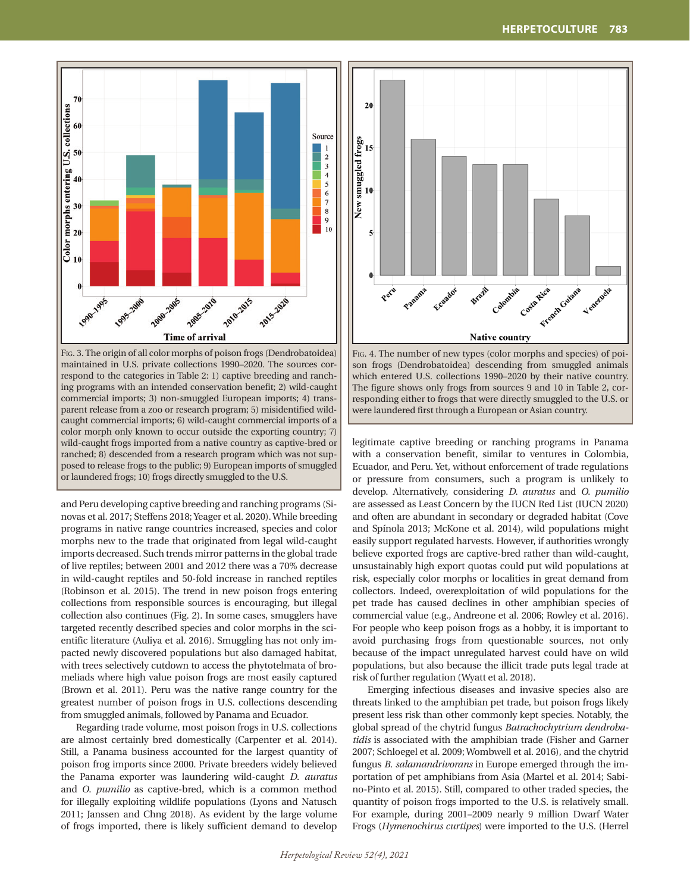

Fig. 3. The origin of all color morphs of poison frogs (Dendrobatoidea) maintained in U.S. private collections 1990–2020. The sources correspond to the categories in Table 2: 1) captive breeding and ranching programs with an intended conservation benefit; 2) wild-caught commercial imports; 3) non-smuggled European imports; 4) transparent release from a zoo or research program; 5) misidentified wildcaught commercial imports; 6) wild-caught commercial imports of a color morph only known to occur outside the exporting country; 7) wild-caught frogs imported from a native country as captive-bred or ranched; 8) descended from a research program which was not supposed to release frogs to the public; 9) European imports of smuggled or laundered frogs; 10) frogs directly smuggled to the U.S.

and Peru developing captive breeding and ranching programs (Sinovas et al. 2017; Steffens 2018; Yeager et al. 2020). While breeding programs in native range countries increased, species and color morphs new to the trade that originated from legal wild-caught imports decreased. Such trends mirror patterns in the global trade of live reptiles; between 2001 and 2012 there was a 70% decrease in wild-caught reptiles and 50-fold increase in ranched reptiles (Robinson et al. 2015). The trend in new poison frogs entering collections from responsible sources is encouraging, but illegal collection also continues (Fig. 2). In some cases, smugglers have targeted recently described species and color morphs in the scientific literature (Auliya et al. 2016). Smuggling has not only impacted newly discovered populations but also damaged habitat, with trees selectively cutdown to access the phytotelmata of bromeliads where high value poison frogs are most easily captured (Brown et al. 2011). Peru was the native range country for the greatest number of poison frogs in U.S. collections descending from smuggled animals, followed by Panama and Ecuador.

Regarding trade volume, most poison frogs in U.S. collections are almost certainly bred domestically (Carpenter et al. 2014). Still, a Panama business accounted for the largest quantity of poison frog imports since 2000. Private breeders widely believed the Panama exporter was laundering wild-caught *D*. *auratus* and *O*. *pumilio* as captive-bred, which is a common method for illegally exploiting wildlife populations (Lyons and Natusch 2011; Janssen and Chng 2018). As evident by the large volume of frogs imported, there is likely sufficient demand to develop



Fig. 4. The number of new types (color morphs and species) of poison frogs (Dendrobatoidea) descending from smuggled animals which entered U.S. collections 1990–2020 by their native country. The figure shows only frogs from sources 9 and 10 in Table 2, corresponding either to frogs that were directly smuggled to the U.S. or were laundered first through a European or Asian country.

legitimate captive breeding or ranching programs in Panama with a conservation benefit, similar to ventures in Colombia, Ecuador, and Peru. Yet, without enforcement of trade regulations or pressure from consumers, such a program is unlikely to develop. Alternatively, considering *D. auratus* and *O. pumilio*  are assessed as Least Concern by the IUCN Red List (IUCN 2020) and often are abundant in secondary or degraded habitat (Cove and Spínola 2013; McKone et al. 2014), wild populations might easily support regulated harvests. However, if authorities wrongly believe exported frogs are captive-bred rather than wild-caught, unsustainably high export quotas could put wild populations at risk, especially color morphs or localities in great demand from collectors. Indeed, overexploitation of wild populations for the pet trade has caused declines in other amphibian species of commercial value (e.g., Andreone et al. 2006; Rowley et al. 2016). For people who keep poison frogs as a hobby, it is important to avoid purchasing frogs from questionable sources, not only because of the impact unregulated harvest could have on wild populations, but also because the illicit trade puts legal trade at risk of further regulation (Wyatt et al. 2018).

Emerging infectious diseases and invasive species also are threats linked to the amphibian pet trade, but poison frogs likely present less risk than other commonly kept species. Notably, the global spread of the chytrid fungus *Batrachochytrium dendrobatidis* is associated with the amphibian trade (Fisher and Garner 2007; Schloegel et al. 2009; Wombwell et al. 2016), and the chytrid fungus *B*. *salamandrivorans* in Europe emerged through the importation of pet amphibians from Asia (Martel et al. 2014; Sabino-Pinto et al. 2015). Still, compared to other traded species, the quantity of poison frogs imported to the U.S. is relatively small. For example, during 2001–2009 nearly 9 million Dwarf Water Frogs (*Hymenochirus curtipes*) were imported to the U.S. (Herrel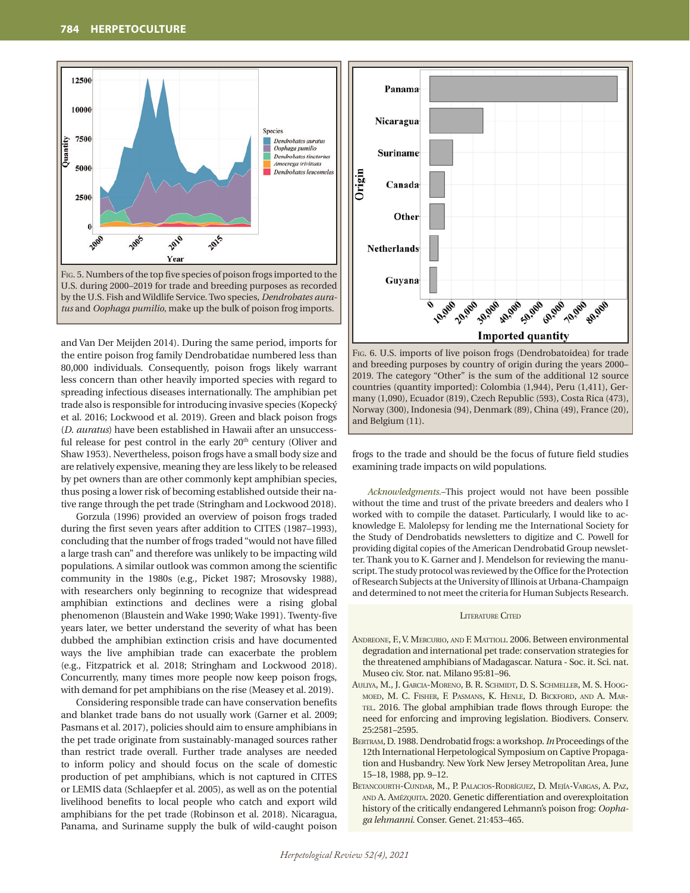



and Van Der Meijden 2014). During the same period, imports for the entire poison frog family Dendrobatidae numbered less than 80,000 individuals. Consequently, poison frogs likely warrant less concern than other heavily imported species with regard to spreading infectious diseases internationally. The amphibian pet trade also is responsible for introducing invasive species (Kopecký et al. 2016; Lockwood et al. 2019). Green and black poison frogs (*D*. *auratus*) have been established in Hawaii after an unsuccessful release for pest control in the early  $20<sup>th</sup>$  century (Oliver and Shaw 1953). Nevertheless, poison frogs have a small body size and are relatively expensive, meaning they are less likely to be released by pet owners than are other commonly kept amphibian species, thus posing a lower risk of becoming established outside their native range through the pet trade (Stringham and Lockwood 2018).

Gorzula (1996) provided an overview of poison frogs traded during the first seven years after addition to CITES (1987–1993), concluding that the number of frogs traded "would not have filled a large trash can" and therefore was unlikely to be impacting wild populations. A similar outlook was common among the scientific community in the 1980s (e.g., Picket 1987; Mrosovsky 1988), with researchers only beginning to recognize that widespread amphibian extinctions and declines were a rising global phenomenon (Blaustein and Wake 1990; Wake 1991). Twenty-five years later, we better understand the severity of what has been dubbed the amphibian extinction crisis and have documented ways the live amphibian trade can exacerbate the problem (e.g., Fitzpatrick et al. 2018; Stringham and Lockwood 2018). Concurrently, many times more people now keep poison frogs, with demand for pet amphibians on the rise (Measey et al. 2019).

Considering responsible trade can have conservation benefits and blanket trade bans do not usually work (Garner et al. 2009; Pasmans et al. 2017), policies should aim to ensure amphibians in the pet trade originate from sustainably-managed sources rather than restrict trade overall. Further trade analyses are needed to inform policy and should focus on the scale of domestic production of pet amphibians, which is not captured in CITES or LEMIS data (Schlaepfer et al. 2005), as well as on the potential livelihood benefits to local people who catch and export wild amphibians for the pet trade (Robinson et al. 2018). Nicaragua, Panama, and Suriname supply the bulk of wild-caught poison



Fig. 6. U.S. imports of live poison frogs (Dendrobatoidea) for trade and breeding purposes by country of origin during the years 2000– 2019. The category "Other" is the sum of the additional 12 source countries (quantity imported): Colombia (1,944), Peru (1,411), Germany (1,090), Ecuador (819), Czech Republic (593), Costa Rica (473), Norway (300), Indonesia (94), Denmark (89), China (49), France (20), and Belgium (11).

frogs to the trade and should be the focus of future field studies examining trade impacts on wild populations.

*Acknowledgments.*–This project would not have been possible without the time and trust of the private breeders and dealers who I worked with to compile the dataset. Particularly, I would like to acknowledge E. Malolepsy for lending me the International Society for the Study of Dendrobatids newsletters to digitize and C. Powell for providing digital copies of the American Dendrobatid Group newsletter. Thank you to K. Garner and J. Mendelson for reviewing the manuscript. The study protocol was reviewed by the Office for the Protection of Research Subjects at the University of Illinois at Urbana-Champaign and determined to not meet the criteria for Human Subjects Research.

### LITERATURE CITED

- Andreone, F., V. Mercurio, and F. Mattioli. 2006. Between environmental degradation and international pet trade: conservation strategies for the threatened amphibians of Madagascar. Natura - Soc. it. Sci. nat. Museo civ. Stor. nat. Milano 95:81–96.
- AULIYA, M., J. GARCIA-MORENO, B. R. SCHMIDT, D. S. SCHMELLER, M. S. HOOGmoed, M. C. Fisher, F. Pasmans, K. Henle, D. Bickford, and A. Martel. 2016. The global amphibian trade flows through Europe: the need for enforcing and improving legislation. Biodivers. Conserv. 25:2581–2595.
- Bertram, D. 1988. Dendrobatid frogs: a workshop. *In* Proceedings of the 12th International Herpetological Symposium on Captive Propagation and Husbandry. New York New Jersey Metropolitan Area, June 15–18, 1988, pp. 9–12.
- Betancourth-Cundar, M., P. Palacios-Rodríguez, D. Mejía-Vargas, A. Paz, and A. Amézquita. 2020. Genetic differentiation and overexploitation history of the critically endangered Lehmann's poison frog: *Oophaga lehmanni*. Conser. Genet. 21:453–465.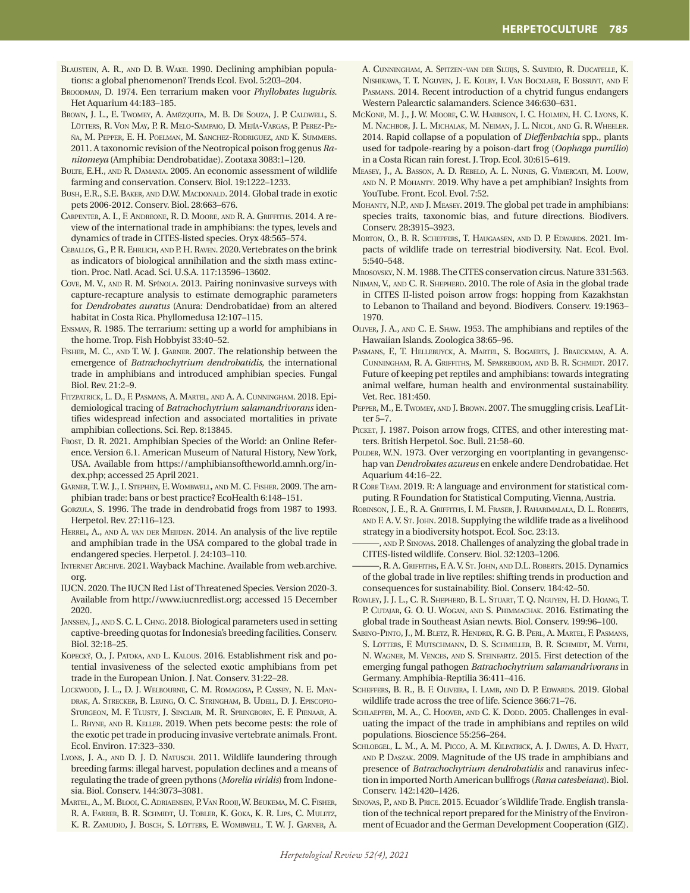- BLAUSTEIN, A. R., AND D. B. WAKE. 1990. Declining amphibian populations: a global phenomenon? Trends Ecol. Evol. 5:203–204.
- Broodman, D. 1974. Een terrarium maken voor *Phyllobates lugubris*. Het Aquarium 44:183–185.
- Brown, J. L., E. Twomey, A. Amézquita, M. B. De Souza, J. P. Caldwell, S. Lötters, R. Von May, P. R. Melo-Sampaio, D. Mejía-Vargas, P. Perez-Peña, M. Pepper, E. H. Poelman, M. Sanchez-Rodriguez, and K. Summers. 2011. A taxonomic revision of the Neotropical poison frog genus *Ranitomeya* (Amphibia: Dendrobatidae). Zootaxa 3083:1–120.
- Bulte, E.H., and R. Damania. 2005. An economic assessment of wildlife farming and conservation. Conserv. Biol. 19:1222–1233.
- BUSH, E.R., S.E. BAKER, AND D.W. MACDONALD. 2014. Global trade in exotic pets 2006-2012. Conserv. Biol. 28:663–676.
- Carpenter, A. I., F. Andreone, R. D. Moore, and R. A. Griffiths. 2014. A review of the international trade in amphibians: the types, levels and dynamics of trade in CITES-listed species. Oryx 48:565–574.
- Ceballos, G., P. R. Ehrlich, and P. H. Raven. 2020. Vertebrates on the brink as indicators of biological annihilation and the sixth mass extinction. Proc. Natl. Acad. Sci. U.S.A. 117:13596–13602.
- Cove, M. V., and R. M. Spínola. 2013. Pairing noninvasive surveys with capture-recapture analysis to estimate demographic parameters for *Dendrobates auratus* (Anura: Dendrobatidae) from an altered habitat in Costa Rica. Phyllomedusa 12:107–115.
- Ensman, R. 1985. The terrarium: setting up a world for amphibians in the home. Trop. Fish Hobbyist 33:40–52.
- Fisher, M. C., and T. W. J. Garner. 2007. The relationship between the emergence of *Batrachochytrium dendrobatidis*, the international trade in amphibians and introduced amphibian species. Fungal Biol. Rev. 21:2–9.
- Fitzpatrick, L. D., F. Pasmans, A. Martel, and A. A. Cunningham. 2018. Epidemiological tracing of *Batrachochytrium salamandrivorans* identifies widespread infection and associated mortalities in private amphibian collections. Sci. Rep. 8:13845.
- Frost, D. R. 2021. Amphibian Species of the World: an Online Reference. Version 6.1. American Museum of Natural History, New York, USA. Available from https://amphibiansoftheworld.amnh.org/index.php; accessed 25 April 2021.
- Garner, T. W. J., I. Stephen, E. Wombwell, and M. C. Fisher. 2009. The amphibian trade: bans or best practice? EcoHealth 6:148–151.
- Gorzula, S. 1996. The trade in dendrobatid frogs from 1987 to 1993. Herpetol. Rev. 27:116–123.
- HERREL, A., AND A. VAN DER MEIJDEN. 2014. An analysis of the live reptile and amphibian trade in the USA compared to the global trade in endangered species. Herpetol. J. 24:103–110.
- Internet Archive. 2021. Wayback Machine. Available from web.archive. org.
- IUCN. 2020. The IUCN Red List of Threatened Species. Version 2020-3. Available from http://www.iucnredlist.org; accessed 15 December 2020.
- Janssen, J., and S. C. L. Chng. 2018. Biological parameters used in setting captive-breeding quotas for Indonesia's breeding facilities. Conserv. Biol. 32:18–25.
- KOPECKÝ, O., J. PATOKA, AND L. KALOUS. 2016. Establishment risk and potential invasiveness of the selected exotic amphibians from pet trade in the European Union. J. Nat. Conserv. 31:22–28.
- Lockwood, J. L., D. J. Welbourne, C. M. Romagosa, P. Cassey, N. E. Mandrak, A. Strecker, B. Leung, O. C. Stringham, B. Udell, D. J. Episcopio-Sturgeon, M. F. Tlusty, J. Sinclair, M. R. Springborn, E. F. Pienaar, A. L. Rhyne, and R. Keller. 2019. When pets become pests: the role of the exotic pet trade in producing invasive vertebrate animals. Front. Ecol. Environ. 17:323–330.
- LYONS, J. A., AND D. J. D. NATUSCH. 2011. Wildlife laundering through breeding farms: illegal harvest, population declines and a means of regulating the trade of green pythons (*Morelia viridis*) from Indonesia. Biol. Conserv. 144:3073–3081.
- Martel, A., M. Blooi, C. Adriaensen, P. Van Rooij, W. Beukema, M. C. Fisher, R. A. Farrer, B. R. Schmidt, U. Tobler, K. Goka, K. R. Lips, C. Muletz, K. R. Zamudio, J. Bosch, S. Lötters, E. Wombwell, T. W. J. Garner, A.

A. Cunningham, A. Spitzen-van der Sluijs, S. Salvidio, R. Ducatelle, K. Nishikawa, T. T. Nguyen, J. E. Kolby, I. Van Bocxlaer, F. Bossuyt, and F. Pasmans. 2014. Recent introduction of a chytrid fungus endangers Western Palearctic salamanders. Science 346:630–631.

- McKone, M. J., J. W. Moore, C. W. Harbison, I. C. Holmen, H. C. Lyons, K. M. Nachbor, J. L. Michalak, M. Neiman, J. L. Nicol, and G. R. Wheeler. 2014. Rapid collapse of a population of *Dieffenbachia* spp., plants used for tadpole-rearing by a poison-dart frog (*Oophaga pumilio*) in a Costa Rican rain forest. J. Trop. Ecol. 30:615–619.
- Measey, J., A. Basson, A. D. Rebelo, A. L. Nunes, G. Vimercati, M. Louw, and N. P. Mohanty. 2019. Why have a pet amphibian? Insights from YouTube. Front. Ecol. Evol. 7:52.
- Mohanty, N.P., and J. Measey. 2019. The global pet trade in amphibians: species traits, taxonomic bias, and future directions. Biodivers. Conserv. 28:3915–3923.
- MORTON, O., B. R. SCHEFFERS, T. HAUGAASEN, AND D. P. EDWARDS. 2021. Impacts of wildlife trade on terrestrial biodiversity. Nat. Ecol. Evol. 5:540–548.

Mrosovsky, N. M. 1988. The CITES conservation circus. Nature 331:563.

- Nijman, V., and C. R. Shepherd. 2010. The role of Asia in the global trade in CITES II-listed poison arrow frogs: hopping from Kazakhstan to Lebanon to Thailand and beyond. Biodivers. Conserv. 19:1963– 1970.
- Oliver, J. A., and C. E. Shaw. 1953. The amphibians and reptiles of the Hawaiian Islands. Zoologica 38:65–96.
- Pasmans, F., T. Hellebuyck, A. Martel, S. Bogaerts, J. Braeckman, A. A. Cunningham, R. A. Griffiths, M. Sparreboom, and B. R. Schmidt. 2017. Future of keeping pet reptiles and amphibians: towards integrating animal welfare, human health and environmental sustainability. Vet. Rec. 181:450.
- Pepper, M., E. Twomey, and J. Brown. 2007. The smuggling crisis. Leaf Litter 5–7.
- PICKET, J. 1987. Poison arrow frogs, CITES, and other interesting matters. British Herpetol. Soc. Bull. 21:58–60.
- POLDER, W.N. 1973. Over verzorging en voortplanting in gevangenschap van *Dendrobates azureus* en enkele andere Dendrobatidae. Het Aquarium 44:16–22.
- R Core Team. 2019. R: A language and environment for statistical computing. R Foundation for Statistical Computing, Vienna, Austria.
- Robinson, J. E., R. A. Griffiths, I. M. Fraser, J. Raharimalala, D. L. Roberts, and F. A. V. St. John. 2018. Supplying the wildlife trade as a livelihood strategy in a biodiversity hotspot. Ecol. Soc. 23:13.
- , AND P. SINOVAS. 2018. Challenges of analyzing the global trade in CITES-listed wildlife. Conserv. Biol. 32:1203–1206.
- ———, R. A. Griffiths, F. A. V. St. John, and D.L. Roberts. 2015. Dynamics of the global trade in live reptiles: shifting trends in production and consequences for sustainability. Biol. Conserv. 184:42–50.
- Rowley, J. J. L., C. R. Shepherd, B. L. Stuart, T. Q. Nguyen, H. D. Hoang, T. P. CUTAJAR, G. O. U. WOGAN, AND S. PHIMMACHAK. 2016. Estimating the global trade in Southeast Asian newts. Biol. Conserv. 199:96–100.
- Sabino-Pinto, J., M. Bletz, R. Hendrix, R. G. B. Perl, A. Martel, F. Pasmans, S. Lötters, F. Mutschmann, D. S. Schmeller, B. R. Schmidt, M. Veith, N. Wagner, M. Vences, and S. Steinfartz. 2015. First detection of the emerging fungal pathogen *Batrachochytrium salamandrivorans* in Germany. Amphibia-Reptilia 36:411–416.
- SCHEFFERS, B. R., B. F. OLIVEIRA, I. LAMB, AND D. P. EDWARDS. 2019. Global wildlife trade across the tree of life. Science 366:71–76.
- SCHLAEPFER, M. A., C. HOOVER, AND C. K. DODD. 2005. Challenges in evaluating the impact of the trade in amphibians and reptiles on wild populations. Bioscience 55:256–264.
- SCHLOEGEL, L. M., A. M. PICCO, A. M. KILPATRICK, A. J. DAVIES, A. D. HYATT, and P. Daszak. 2009. Magnitude of the US trade in amphibians and presence of *Batrachochytrium dendrobatidis* and ranavirus infection in imported North American bullfrogs (*Rana catesbeiana*). Biol. Conserv. 142:1420–1426.
- Sinovas, P., and B. Price. 2015. Ecuador´s Wildlife Trade. English translation of the technical report prepared for the Ministry of the Environment of Ecuador and the German Development Cooperation (GIZ).